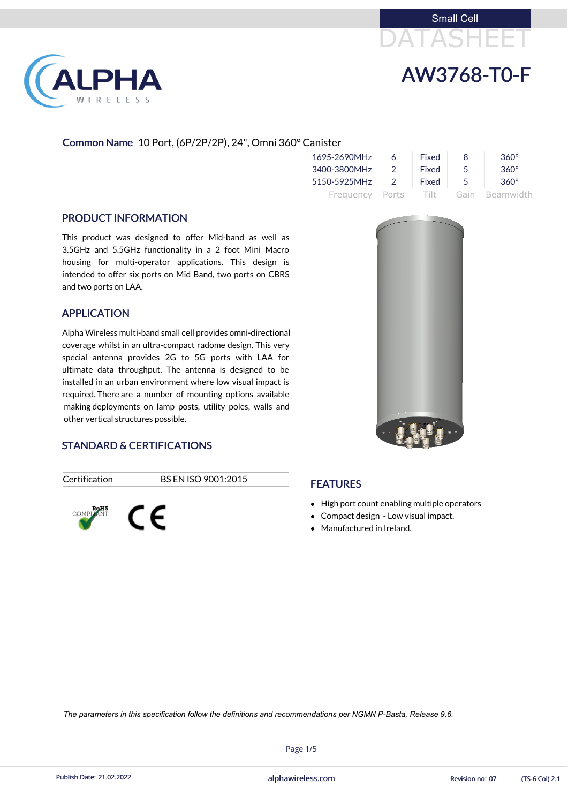



# Common Name 10 Port, (6P/2P/2P), 24", Omni 360° Canister

| 1695-2690MHz    | 6              | Fixed    | 8   | $360^\circ$    |
|-----------------|----------------|----------|-----|----------------|
| 3400-3800MHz    | $\mathcal{P}$  | Fixed    | 5   | $360^\circ$    |
| 5150-5925MHz    | $\overline{2}$ | Fixed    | - 5 | $360^\circ$    |
| Frequency Ports |                | - Tilt - |     | Gain Beamwidth |

### PRODUCT INFORMATION

**PHA** 

RELESS

This product was designed to offer Mid-band as well as 3.5GHz and 5.5GHz functionality in a 2 foot Mini Macro housing for multi-operator applications. This design is intended to offer six ports on Mid Band, two ports on CBRS and two ports on LAA.

### APPLICATION

Alpha Wireless multi-band small cell provides omni-directional coverage whilst in an ultra-compact radome design. This very special antenna provides 2G to 5G ports with LAA for ultimate data throughput. The antenna is designed to be installed in an urban environment where low visual impact is required. There are a number of mounting options available making deployments on lamp posts, utility poles, walls and other vertical structures possible.

# STANDARD & CERTIFICATIONS

Certification BS EN ISO 9001:2015





# **FEATURES**

- High port count enabling multiple operators
- Compact design Low visual impact.
- Manufactured in Ireland.

Page 1/5



Publish Date: 21.02.2022 **Exercise 21.02.2022** alphawireless.com Revision no: 07 (TS-6 Col) 2.1

*The parameters in this specification follow the definitions and recommendations per NGMN P-Basta, Release 9.6.*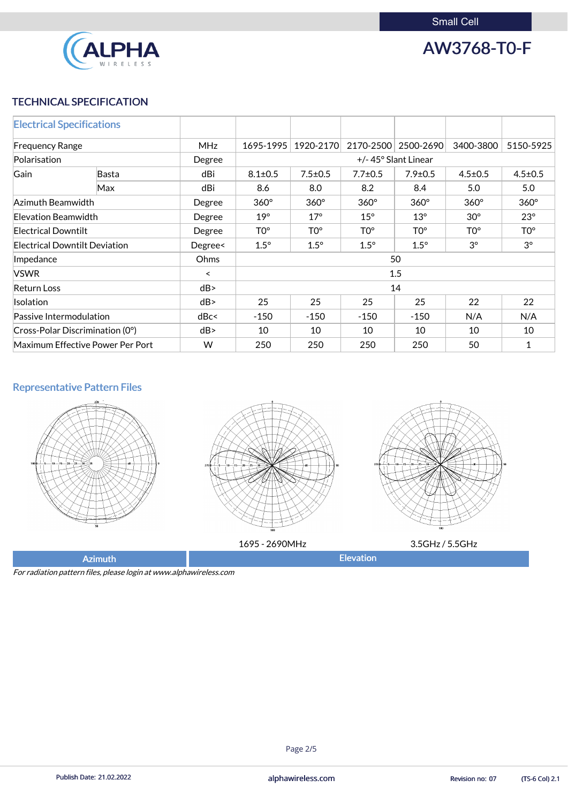

AW3768-T0-F

# TECHNICAL SPECIFICATION

| <b>Electrical Specifications</b>        |              |         |                     |                 |                 |                 |                 |                 |
|-----------------------------------------|--------------|---------|---------------------|-----------------|-----------------|-----------------|-----------------|-----------------|
| <b>MHz</b><br><b>Frequency Range</b>    |              |         | 1695-1995           | 1920-2170       | 2170-2500       | 2500-2690       | 3400-3800       | 5150-5925       |
| Polarisation                            |              | Degree  | +/-45° Slant Linear |                 |                 |                 |                 |                 |
| Gain                                    | <b>Basta</b> | dBi     | $8.1 \pm 0.5$       | $7.5 \pm 0.5$   | $7.7 \pm 0.5$   | $7.9 \pm 0.5$   | $4.5 \pm 0.5$   | $4.5 \pm 0.5$   |
|                                         | Max          | dBi     | 8.6                 | 8.0             | 8.2             | 8.4             | 5.0             | 5.0             |
| Azimuth Beamwidth                       |              | Degree  | $360^\circ$         | $360^\circ$     | $360^\circ$     | $360^\circ$     | $360^\circ$     | $360^\circ$     |
| Elevation Beamwidth                     |              | Degree  | $19^\circ$          | $17^\circ$      | $15^\circ$      | $13^\circ$      | $30^\circ$      | $23^\circ$      |
| <b>Electrical Downtilt</b>              |              | Degree  | TO <sup>o</sup>     | TO <sup>o</sup> | TO <sup>o</sup> | TO <sup>o</sup> | TO <sup>o</sup> | TO <sup>o</sup> |
| <b>Electrical Downtilt Deviation</b>    |              | Degree< | $1.5^\circ$         | $1.5^\circ$     | $1.5^\circ$     | $1.5^\circ$     | $3^{\circ}$     | $3^\circ$       |
| Impedance                               |              | Ohms    | 50                  |                 |                 |                 |                 |                 |
| <b>VSWR</b>                             |              | $\prec$ | 1.5                 |                 |                 |                 |                 |                 |
| <b>Return Loss</b>                      |              | dB      | 14                  |                 |                 |                 |                 |                 |
| <b>Isolation</b>                        |              | dB      | 25                  | 25              | 25              | 25              | 22              | 22              |
| dBc<<br>Passive Intermodulation         |              | $-150$  | $-150$              | $-150$          | $-150$          | N/A             | N/A             |                 |
| $\vert$ Cross-Polar Discrimination (0°) |              | dB      | 10                  | 10              | 10              | 10              | 10              | 10              |
| Maximum Effective Power Per Port<br>W   |              |         | 250                 | 250             | 250             | 250             | 50              | 1               |

# Representative Pattern Files







1695 - 2690MHz 3.5GHz / 5.5GHz

Azimuth **Elevation** 

For radiation pattern files, please login at www.alphawireless.com

### Page 2/5

Publish Date: 21.02.2022 **Exercise 20:03 Collection** and phawireless.com **Revision no: 07** (TS-6 Col) 2.1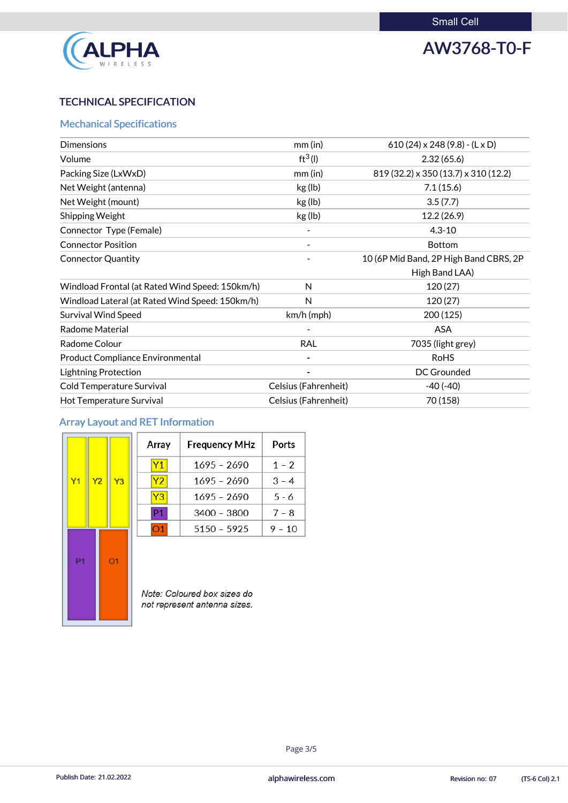

# AW3768-T0-F

# TECHNICAL SPECIFICATION

# Mechanical Specifications

| <b>Dimensions</b>                               | $mm$ (in)                   | 610 (24) $\times$ 248 (9.8) - (L $\times$ D) |
|-------------------------------------------------|-----------------------------|----------------------------------------------|
| Volume                                          | $ft^3(1)$                   | 2.32(65.6)                                   |
| Packing Size (LxWxD)                            | $mm$ (in)                   | 819 (32.2) x 350 (13.7) x 310 (12.2)         |
| Net Weight (antenna)                            | kg (lb)                     | 7.1(15.6)                                    |
| Net Weight (mount)                              | kg (lb)                     | 3.5(7.7)                                     |
| <b>Shipping Weight</b>                          | kg (lb)                     | 12.2(26.9)                                   |
| Connector Type (Female)                         |                             | $4.3 - 10$                                   |
| <b>Connector Position</b>                       |                             | <b>Bottom</b>                                |
| <b>Connector Quantity</b>                       |                             | 10 (6P Mid Band, 2P High Band CBRS, 2P       |
|                                                 |                             | High Band LAA)                               |
| Windload Frontal (at Rated Wind Speed: 150km/h) | N                           | 120(27)                                      |
| Windload Lateral (at Rated Wind Speed: 150km/h) | N                           | 120(27)                                      |
| <b>Survival Wind Speed</b>                      | $km/h$ (mph)                | 200 (125)                                    |
| <b>Radome Material</b>                          |                             | <b>ASA</b>                                   |
| Radome Colour                                   | <b>RAL</b>                  | 7035 (light grey)                            |
| <b>Product Compliance Environmental</b>         |                             | <b>RoHS</b>                                  |
| <b>Lightning Protection</b>                     |                             | <b>DC Grounded</b>                           |
| <b>Cold Temperature Survival</b>                | Celsius (Fahrenheit)        | $-40(-40)$                                   |
| <b>Hot Temperature Survival</b>                 | <b>Celsius (Fahrenheit)</b> | 70 (158)                                     |

# Array Layout and RET Information

|                |                |                | Array                                                       | <b>Frequency MHz</b> | Ports    |
|----------------|----------------|----------------|-------------------------------------------------------------|----------------------|----------|
|                |                |                | <b>Y1</b>                                                   | 1695 - 2690          | $1 - 2$  |
| Y <sub>1</sub> | Y <sub>2</sub> | Y3             | <b>Y2</b>                                                   | $1695 - 2690$        | $3 - 4$  |
|                |                |                | Y <sub>3</sub>                                              | $1695 - 2690$        | $5 - 6$  |
|                |                |                | P1                                                          | 3400 - 3800          | $7 - 8$  |
|                |                |                | O <sub>1</sub>                                              | $5150 - 5925$        | $9 - 10$ |
| P <sub>1</sub> |                | O <sub>1</sub> |                                                             |                      |          |
|                |                |                | Note: Coloured box sizes do<br>not represent antenna sizes. |                      |          |



### Page 3/5

Publish Date: 21.02.2022 **Exercise 20:03 Collection** and phawireless.com **Revision no: 07** (TS-6 Col) 2.1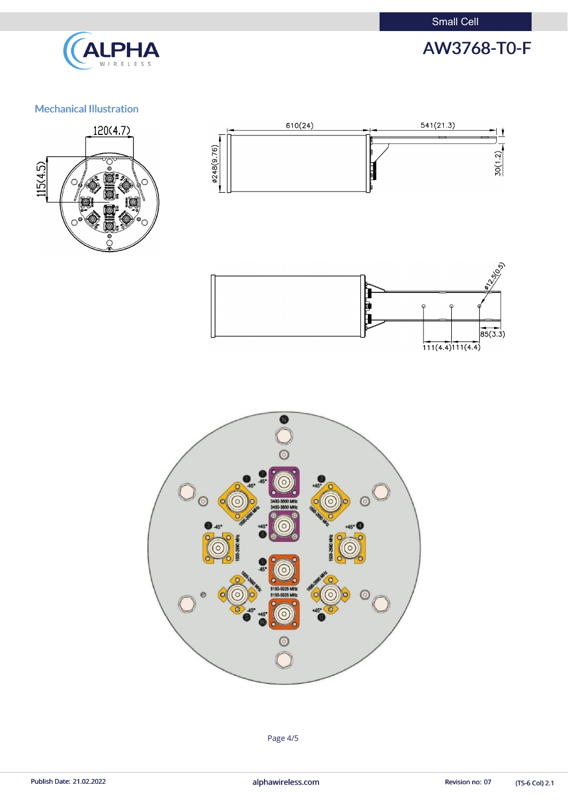Small Cell



# AW3768-T0-F

# Mechanical Illustration









(TS-6 Col) 2.1

Page 4/5

Publish Date: 21.02.2022 **alphawireless.com** and a series and a series of the Revision no: 07